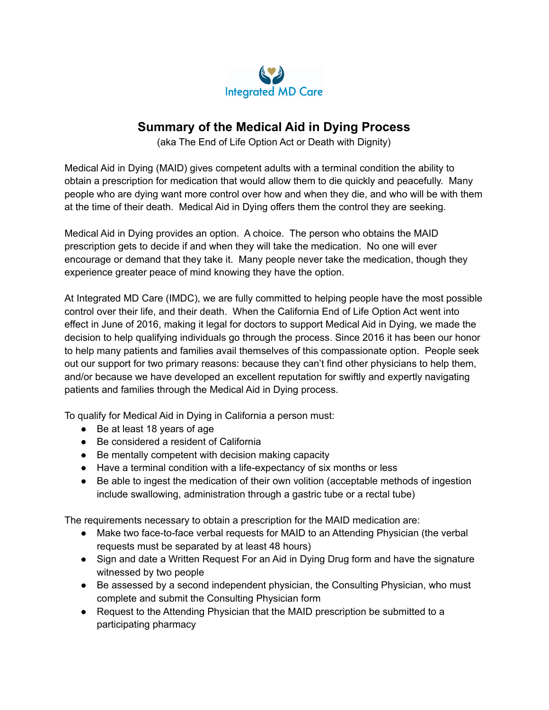

# **Summary of the Medical Aid in Dying Process**

(aka The End of Life Option Act or Death with Dignity)

Medical Aid in Dying (MAID) gives competent adults with a terminal condition the ability to obtain a prescription for medication that would allow them to die quickly and peacefully. Many people who are dying want more control over how and when they die, and who will be with them at the time of their death. Medical Aid in Dying offers them the control they are seeking.

Medical Aid in Dying provides an option. A choice. The person who obtains the MAID prescription gets to decide if and when they will take the medication. No one will ever encourage or demand that they take it. Many people never take the medication, though they experience greater peace of mind knowing they have the option.

At Integrated MD Care (IMDC), we are fully committed to helping people have the most possible control over their life, and their death. When the California End of Life Option Act went into effect in June of 2016, making it legal for doctors to support Medical Aid in Dying, we made the decision to help qualifying individuals go through the process. Since 2016 it has been our honor to help many patients and families avail themselves of this compassionate option. People seek out our support for two primary reasons: because they can't find other physicians to help them, and/or because we have developed an excellent reputation for swiftly and expertly navigating patients and families through the Medical Aid in Dying process.

To qualify for Medical Aid in Dying in California a person must:

- Be at least 18 years of age
- Be considered a resident of California
- Be mentally competent with decision making capacity
- Have a terminal condition with a life-expectancy of six months or less
- Be able to ingest the medication of their own volition (acceptable methods of ingestion include swallowing, administration through a gastric tube or a rectal tube)

The requirements necessary to obtain a prescription for the MAID medication are:

- Make two face-to-face verbal requests for MAID to an Attending Physician (the verbal requests must be separated by at least 48 hours)
- Sign and date a Written Request For an Aid in Dying Drug form and have the signature witnessed by two people
- Be assessed by a second independent physician, the Consulting Physician, who must complete and submit the Consulting Physician form
- Request to the Attending Physician that the MAID prescription be submitted to a participating pharmacy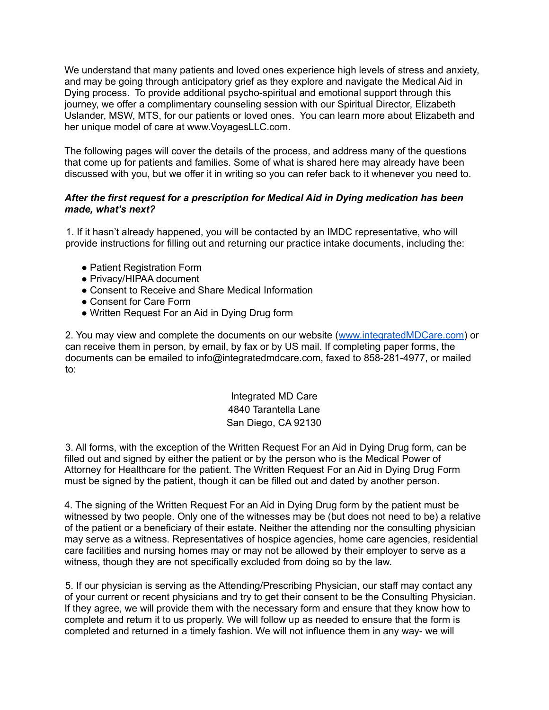We understand that many patients and loved ones experience high levels of stress and anxiety. and may be going through anticipatory grief as they explore and navigate the Medical Aid in Dying process. To provide additional psycho-spiritual and emotional support through this journey, we offer a complimentary counseling session with our Spiritual Director, Elizabeth Uslander, MSW, MTS, for our patients or loved ones. You can learn more about Elizabeth and her unique model of care at www.VoyagesLLC.com.

The following pages will cover the details of the process, and address many of the questions that come up for patients and families. Some of what is shared here may already have been discussed with you, but we offer it in writing so you can refer back to it whenever you need to.

### *After the first request for a prescription for Medical Aid in Dying medication has been made, what's next?*

1. If it hasn't already happened, you will be contacted by an IMDC representative, who will provide instructions for filling out and returning our practice intake documents, including the:

- Patient Registration Form
- Privacy/HIPAA document
- Consent to Receive and Share Medical Information
- Consent for Care Form
- Written Request For an Aid in Dying Drug form

2. You may view and complete the documents on our website ([www.integratedMDCare.com\)](http://www.integratedmdcare.com) or can receive them in person, by email, by fax or by US mail. If completing paper forms, the documents can be emailed to info@integratedmdcare.com, faxed to 858-281-4977, or mailed to:

> Integrated MD Care 4840 Tarantella Lane San Diego, CA 92130

3. All forms, with the exception of the Written Request For an Aid in Dying Drug form, can be filled out and signed by either the patient or by the person who is the Medical Power of Attorney for Healthcare for the patient. The Written Request For an Aid in Dying Drug Form must be signed by the patient, though it can be filled out and dated by another person.

4. The signing of the Written Request For an Aid in Dying Drug form by the patient must be witnessed by two people. Only one of the witnesses may be (but does not need to be) a relative of the patient or a beneficiary of their estate. Neither the attending nor the consulting physician may serve as a witness. Representatives of hospice agencies, home care agencies, residential care facilities and nursing homes may or may not be allowed by their employer to serve as a witness, though they are not specifically excluded from doing so by the law.

5. If our physician is serving as the Attending/Prescribing Physician, our staff may contact any of your current or recent physicians and try to get their consent to be the Consulting Physician. If they agree, we will provide them with the necessary form and ensure that they know how to complete and return it to us properly. We will follow up as needed to ensure that the form is completed and returned in a timely fashion. We will not influence them in any way- we will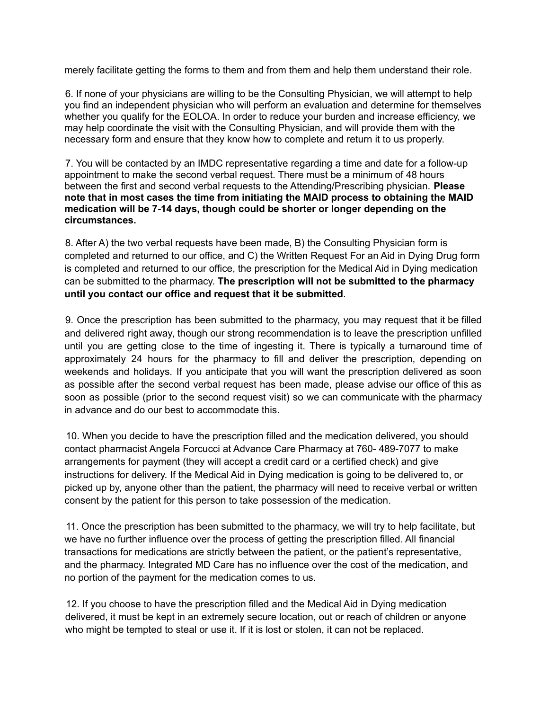merely facilitate getting the forms to them and from them and help them understand their role.

6. If none of your physicians are willing to be the Consulting Physician, we will attempt to help you find an independent physician who will perform an evaluation and determine for themselves whether you qualify for the EOLOA. In order to reduce your burden and increase efficiency, we may help coordinate the visit with the Consulting Physician, and will provide them with the necessary form and ensure that they know how to complete and return it to us properly.

7. You will be contacted by an IMDC representative regarding a time and date for a follow-up appointment to make the second verbal request. There must be a minimum of 48 hours between the first and second verbal requests to the Attending/Prescribing physician. **Please note that in most cases the time from initiating the MAID process to obtaining the MAID medication will be 7-14 days, though could be shorter or longer depending on the circumstances.**

8. After A) the two verbal requests have been made, B) the Consulting Physician form is completed and returned to our office, and C) the Written Request For an Aid in Dying Drug form is completed and returned to our office, the prescription for the Medical Aid in Dying medication can be submitted to the pharmacy. **The prescription will not be submitted to the pharmacy until you contact our office and request that it be submitted**.

9. Once the prescription has been submitted to the pharmacy, you may request that it be filled and delivered right away, though our strong recommendation is to leave the prescription unfilled until you are getting close to the time of ingesting it. There is typically a turnaround time of approximately 24 hours for the pharmacy to fill and deliver the prescription, depending on weekends and holidays. If you anticipate that you will want the prescription delivered as soon as possible after the second verbal request has been made, please advise our office of this as soon as possible (prior to the second request visit) so we can communicate with the pharmacy in advance and do our best to accommodate this.

10. When you decide to have the prescription filled and the medication delivered, you should contact pharmacist Angela Forcucci at Advance Care Pharmacy at 760- 489-7077 to make arrangements for payment (they will accept a credit card or a certified check) and give instructions for delivery. If the Medical Aid in Dying medication is going to be delivered to, or picked up by, anyone other than the patient, the pharmacy will need to receive verbal or written consent by the patient for this person to take possession of the medication.

11. Once the prescription has been submitted to the pharmacy, we will try to help facilitate, but we have no further influence over the process of getting the prescription filled. All financial transactions for medications are strictly between the patient, or the patient's representative, and the pharmacy. Integrated MD Care has no influence over the cost of the medication, and no portion of the payment for the medication comes to us.

12. If you choose to have the prescription filled and the Medical Aid in Dying medication delivered, it must be kept in an extremely secure location, out or reach of children or anyone who might be tempted to steal or use it. If it is lost or stolen, it can not be replaced.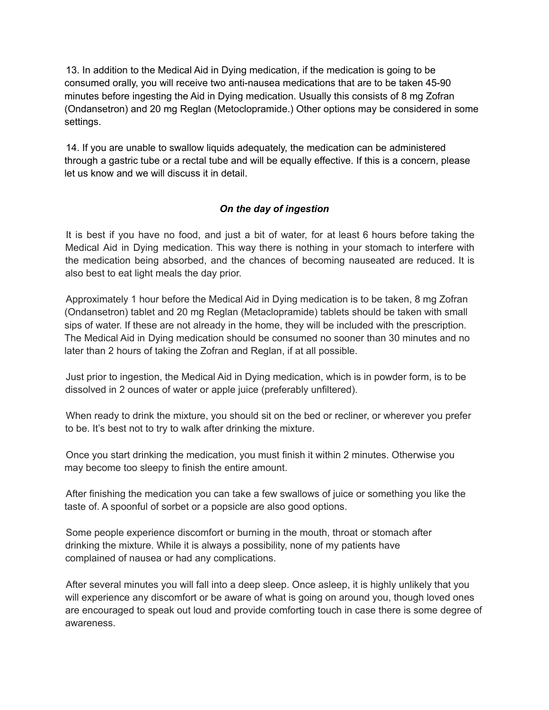13. In addition to the Medical Aid in Dying medication, if the medication is going to be consumed orally, you will receive two anti-nausea medications that are to be taken 45-90 minutes before ingesting the Aid in Dying medication. Usually this consists of 8 mg Zofran (Ondansetron) and 20 mg Reglan (Metoclopramide.) Other options may be considered in some settings.

14. If you are unable to swallow liquids adequately, the medication can be administered through a gastric tube or a rectal tube and will be equally effective. If this is a concern, please let us know and we will discuss it in detail.

## *On the day of ingestion*

It is best if you have no food, and just a bit of water, for at least 6 hours before taking the Medical Aid in Dying medication. This way there is nothing in your stomach to interfere with the medication being absorbed, and the chances of becoming nauseated are reduced. It is also best to eat light meals the day prior.

Approximately 1 hour before the Medical Aid in Dying medication is to be taken, 8 mg Zofran (Ondansetron) tablet and 20 mg Reglan (Metaclopramide) tablets should be taken with small sips of water. If these are not already in the home, they will be included with the prescription. The Medical Aid in Dying medication should be consumed no sooner than 30 minutes and no later than 2 hours of taking the Zofran and Reglan, if at all possible.

Just prior to ingestion, the Medical Aid in Dying medication, which is in powder form, is to be dissolved in 2 ounces of water or apple juice (preferably unfiltered).

When ready to drink the mixture, you should sit on the bed or recliner, or wherever you prefer to be. It's best not to try to walk after drinking the mixture.

Once you start drinking the medication, you must finish it within 2 minutes. Otherwise you may become too sleepy to finish the entire amount.

After finishing the medication you can take a few swallows of juice or something you like the taste of. A spoonful of sorbet or a popsicle are also good options.

Some people experience discomfort or burning in the mouth, throat or stomach after drinking the mixture. While it is always a possibility, none of my patients have complained of nausea or had any complications.

After several minutes you will fall into a deep sleep. Once asleep, it is highly unlikely that you will experience any discomfort or be aware of what is going on around you, though loved ones are encouraged to speak out loud and provide comforting touch in case there is some degree of awareness.